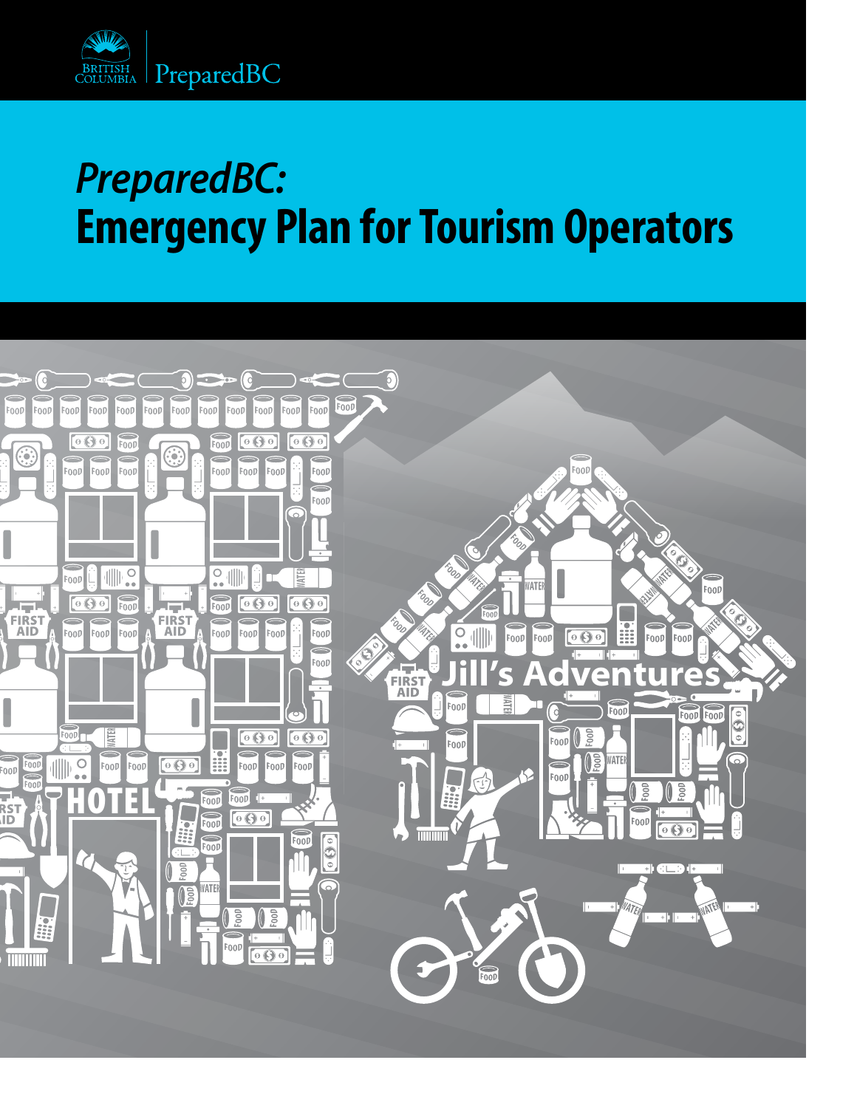

# *PreparedBC:* **Emergency Plan for Tourism Operators**

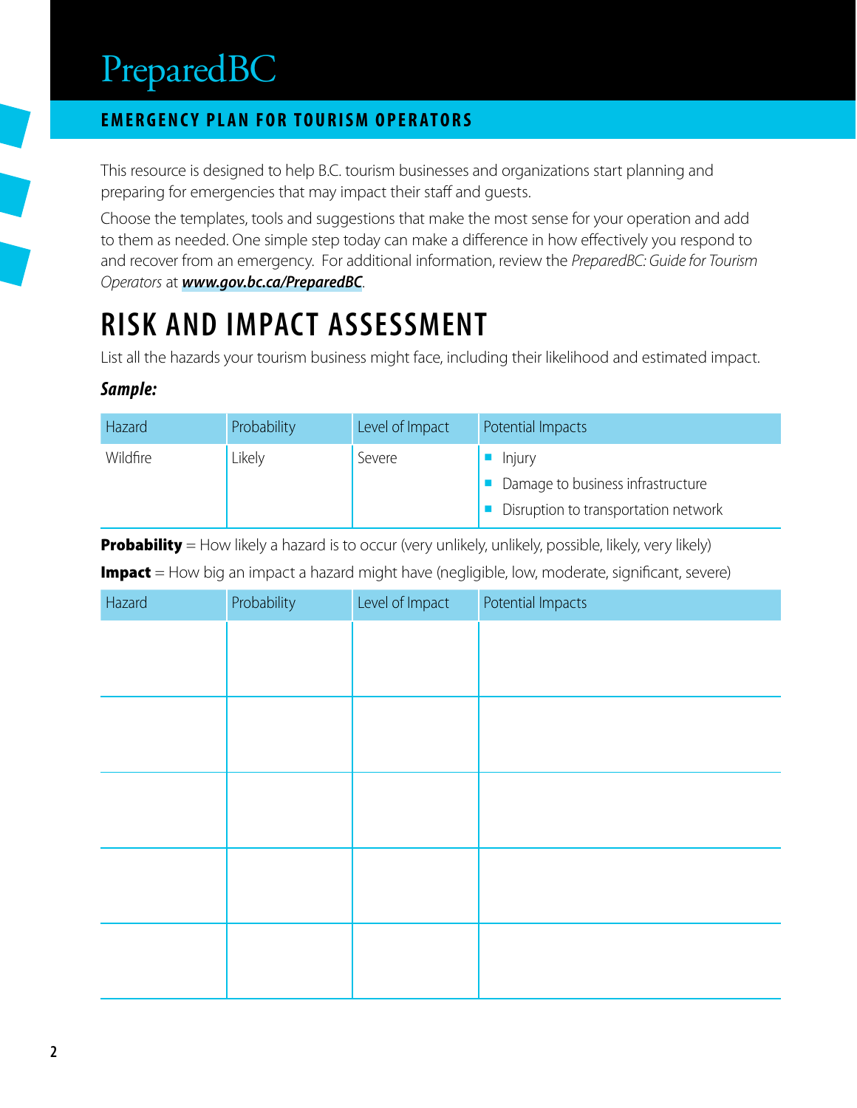### **EMERGENCY PLAN FOR TOURISM OPERATORS**

This resource is designed to help B.C. tourism businesses and organizations start planning and preparing for emergencies that may impact their staff and guests.

Choose the templates, tools and suggestions that make the most sense for your operation and add to them as needed. One simple step today can make a difference in how effectively you respond to and recover from an emergency. For additional information, review the *PreparedBC: Guide for Tourism Operators* at *[www.gov.bc.ca/PreparedBC](http://www.gov.bc.ca/PreparedBC)*.

# **RISK AND IMPACT ASSESSMENT**

List all the hazards your tourism business might face, including their likelihood and estimated impact.

#### *Sample:*

| Hazard   | Probability | Level of Impact | Potential Impacts                                                                   |
|----------|-------------|-----------------|-------------------------------------------------------------------------------------|
| Wildfire | Likely      | Severe          | Injury<br>Damage to business infrastructure<br>Disruption to transportation network |

**Probability** = How likely a hazard is to occur (very unlikely, unlikely, possible, likely, very likely)

**Impact** = How big an impact a hazard might have (negligible, low, moderate, significant, severe)

| Hazard | Probability | Level of Impact | Potential Impacts |
|--------|-------------|-----------------|-------------------|
|        |             |                 |                   |
|        |             |                 |                   |
|        |             |                 |                   |
|        |             |                 |                   |
|        |             |                 |                   |
|        |             |                 |                   |
|        |             |                 |                   |
|        |             |                 |                   |
|        |             |                 |                   |
|        |             |                 |                   |
|        |             |                 |                   |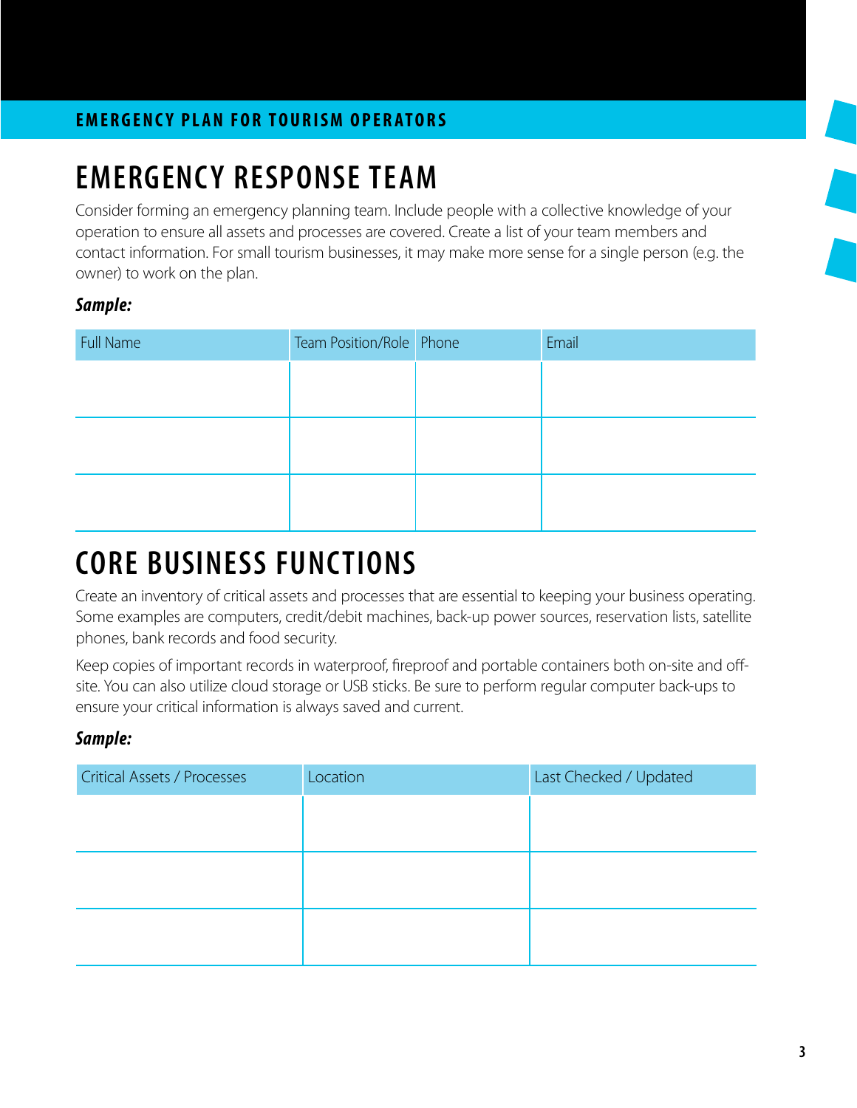# **EMERGENCY RESPONSE TEAM**

Consider forming an emergency planning team. Include people with a collective knowledge of your operation to ensure all assets and processes are covered. Create a list of your team members and contact information. For small tourism businesses, it may make more sense for a single person (e.g. the owner) to work on the plan.

#### *Sample:*

| Full Name | Team Position/Role Phone | Email |
|-----------|--------------------------|-------|
|           |                          |       |
|           |                          |       |
|           |                          |       |
|           |                          |       |
|           |                          |       |
|           |                          |       |

## **CORE BUSINESS FUNCTIONS**

Create an inventory of critical assets and processes that are essential to keeping your business operating. Some examples are computers, credit/debit machines, back-up power sources, reservation lists, satellite phones, bank records and food security.

Keep copies of important records in waterproof, fireproof and portable containers both on-site and offsite. You can also utilize cloud storage or USB sticks. Be sure to perform regular computer back-ups to ensure your critical information is always saved and current.

#### *Sample:*

| <b>Critical Assets / Processes</b> | Location | Last Checked / Updated |
|------------------------------------|----------|------------------------|
|                                    |          |                        |
|                                    |          |                        |
|                                    |          |                        |
|                                    |          |                        |
|                                    |          |                        |
|                                    |          |                        |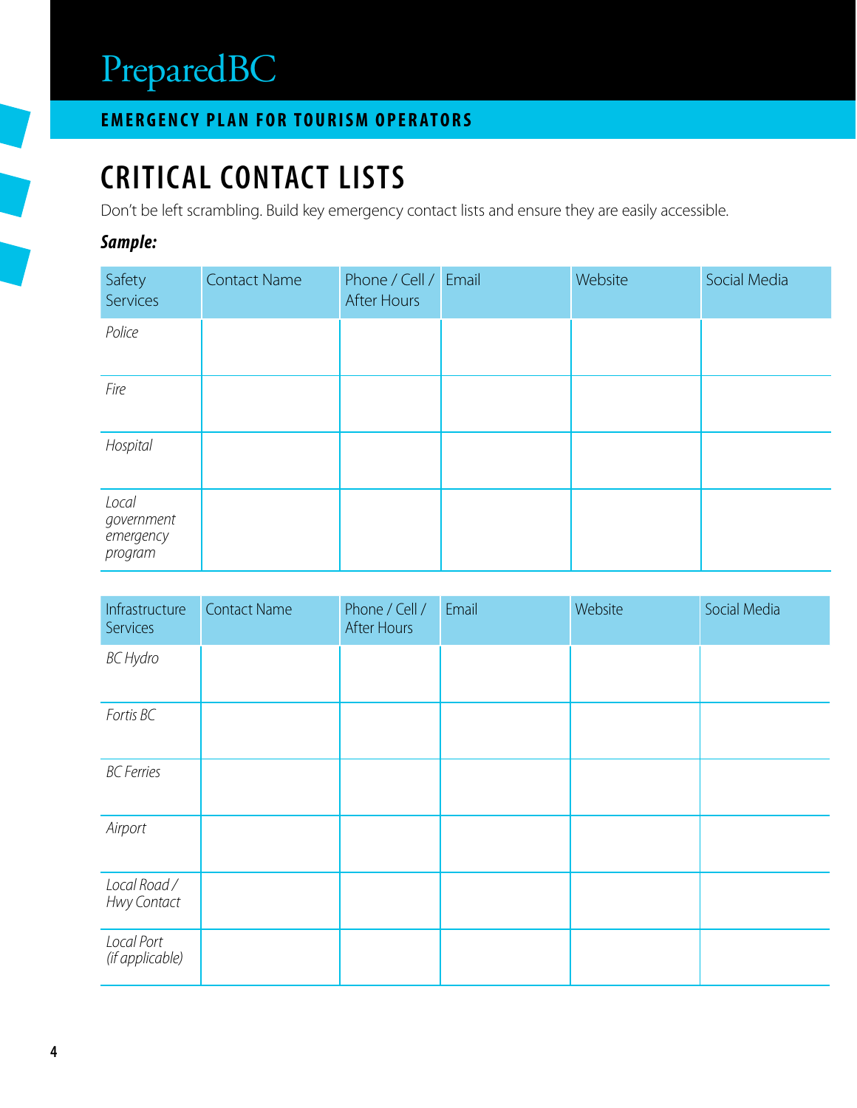### **EMERGENCY PLAN FOR TOURISM OPERATORS**

# **CRITICAL CONTACT LISTS**

Don't be left scrambling. Build key emergency contact lists and ensure they are easily accessible.

#### *Sample:*

| Safety<br>Services                          | <b>Contact Name</b> | Phone / Cell / Email<br>After Hours | Website | Social Media |
|---------------------------------------------|---------------------|-------------------------------------|---------|--------------|
| Police                                      |                     |                                     |         |              |
| Fire                                        |                     |                                     |         |              |
| Hospital                                    |                     |                                     |         |              |
| Local<br>government<br>emergency<br>program |                     |                                     |         |              |

| Infrastructure<br>Services    | <b>Contact Name</b> | Phone / Cell /<br>After Hours | Email | Website | Social Media |
|-------------------------------|---------------------|-------------------------------|-------|---------|--------------|
| <b>BC Hydro</b>               |                     |                               |       |         |              |
| Fortis BC                     |                     |                               |       |         |              |
| <b>BC</b> Ferries             |                     |                               |       |         |              |
| Airport                       |                     |                               |       |         |              |
| Local Road /<br>Hwy Contact   |                     |                               |       |         |              |
| Local Port<br>(if applicable) |                     |                               |       |         |              |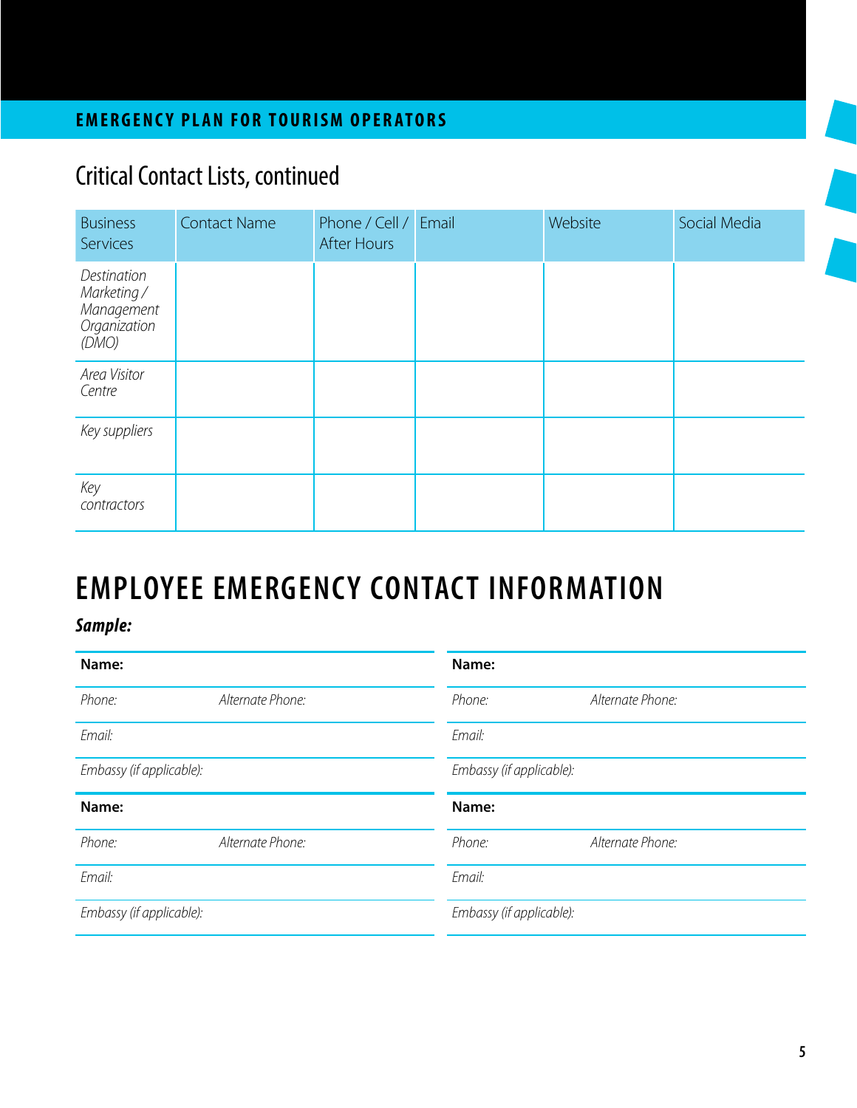### **EMERGENCY PLAN FOR TOURISM OPERATORS**

## Critical Contact Lists, continued

| <b>Business</b><br>Services                                              | <b>Contact Name</b> | Phone / Cell /<br>After Hours | Email | Website | Social Media |
|--------------------------------------------------------------------------|---------------------|-------------------------------|-------|---------|--------------|
| <b>Destination</b><br>Marketing /<br>Management<br>Organization<br>(DMO) |                     |                               |       |         |              |
| Area Visitor<br>Centre                                                   |                     |                               |       |         |              |
| Key suppliers                                                            |                     |                               |       |         |              |
| Key<br>contractors                                                       |                     |                               |       |         |              |

## **EMPLOYEE EMERGENCY CONTACT INFORMATION**

#### *Sample:*

| Name:                    |                  | Name:                    |                  |
|--------------------------|------------------|--------------------------|------------------|
| Phone:                   | Alternate Phone: | Phone:                   | Alternate Phone: |
| Email:                   |                  | Email:                   |                  |
| Embassy (if applicable): |                  | Embassy (if applicable): |                  |
| Name:                    |                  | Name:                    |                  |
| Phone:                   | Alternate Phone: | Phone:                   | Alternate Phone: |
| Email:                   |                  | Email:                   |                  |
| Embassy (if applicable): |                  | Embassy (if applicable): |                  |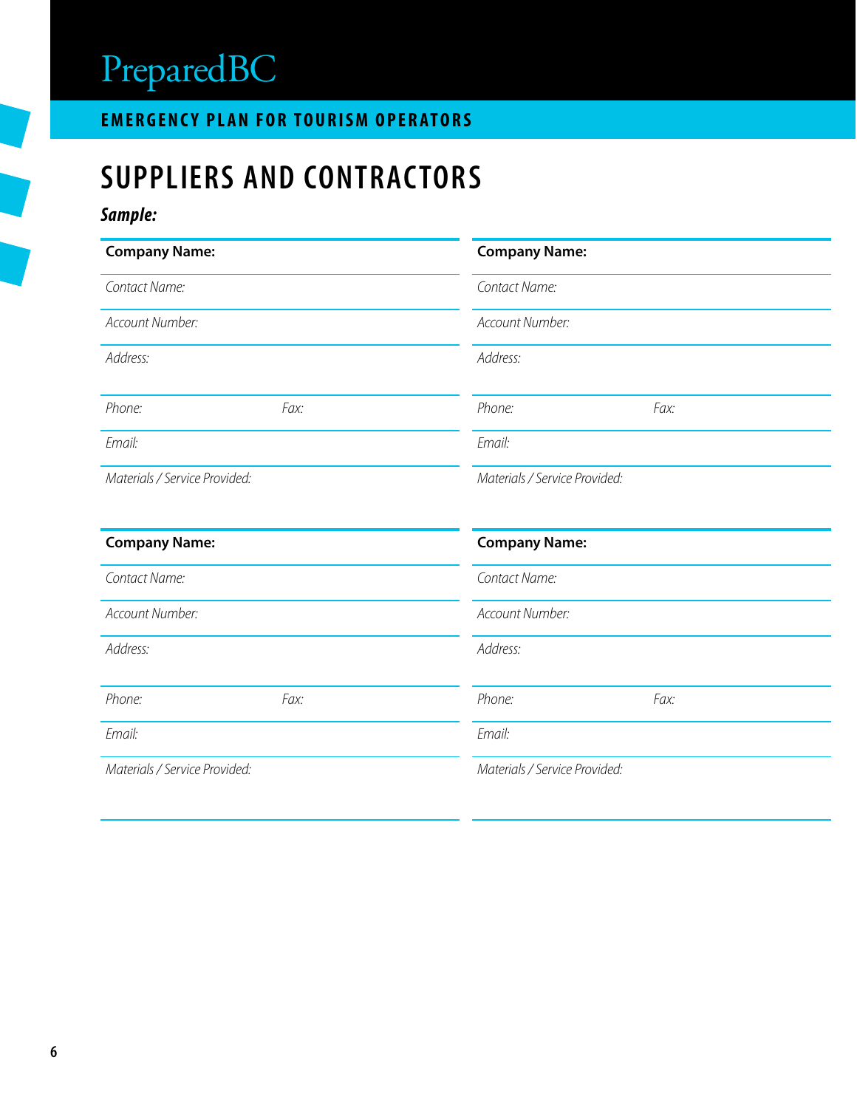## **EMERGENCY PLAN FOR TOURISM OPERATORS**

# **SUPPLIERS AND CONTRACTORS**

### *Sample:*

| <b>Company Name:</b>          |      | <b>Company Name:</b>          |      |
|-------------------------------|------|-------------------------------|------|
| Contact Name:                 |      | Contact Name:                 |      |
| Account Number:               |      | Account Number:               |      |
| Address:                      |      | Address:                      |      |
| Phone:                        | Fax: | Phone:                        | Fax: |
| Email:                        |      | Email:                        |      |
| Materials / Service Provided: |      | Materials / Service Provided: |      |
|                               |      |                               |      |
| <b>Company Name:</b>          |      | <b>Company Name:</b>          |      |
| Contact Name:                 |      | Contact Name:                 |      |
| Account Number:               |      | Account Number:               |      |
| Address:                      |      | Address:                      |      |
| Phone:                        | Fax: | Phone:                        | Fax: |
| Email:                        |      | Email:                        |      |
| Materials / Service Provided: |      | Materials / Service Provided: |      |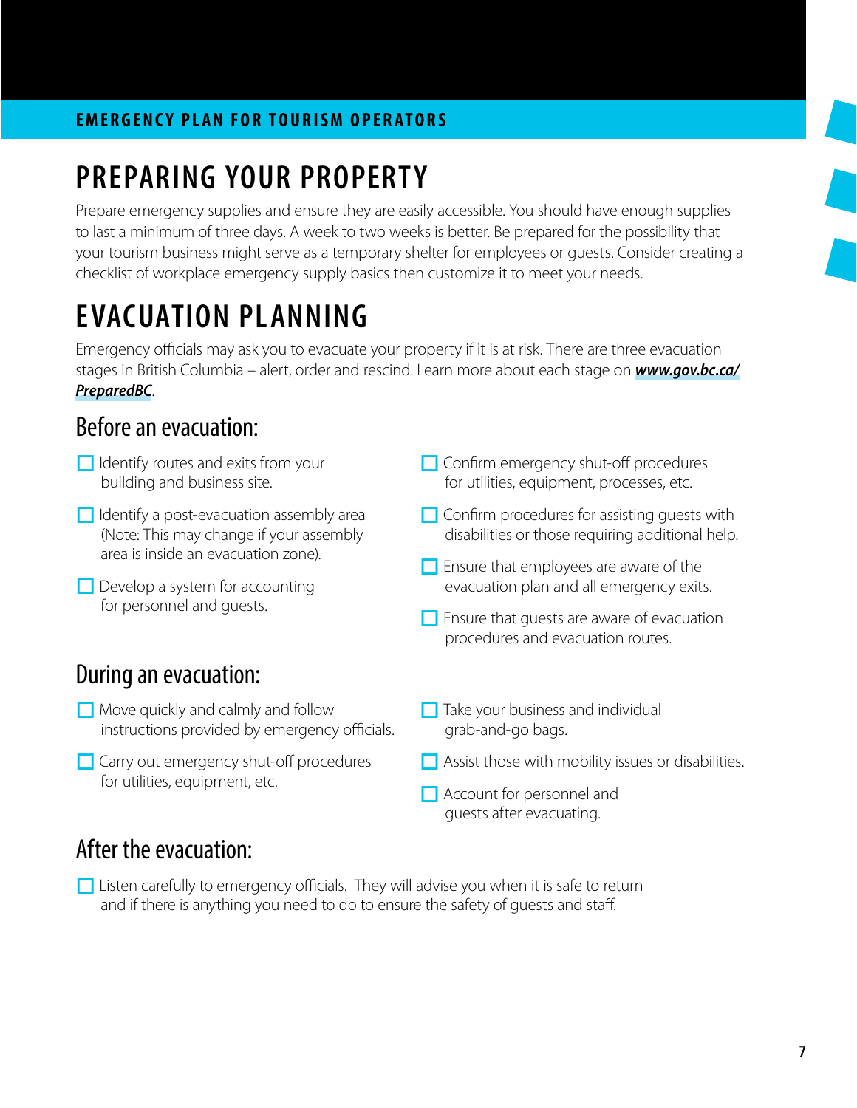# **PREPARING YOUR PROPERTY**

Prepare emergency supplies and ensure they are easily accessible. You should have enough supplies to last a minimum of three days. A week to two weeks is better. Be prepared for the possibility that your tourism business might serve as a temporary shelter for employees or guests. Consider creating a checklist of workplace emergency supply basics then customize it to meet your needs.

# **EVACUATION PLANNING**

Emergency officials may ask you to evacuate your property if it is at risk. There are three evacuation stages in British Columbia – alert, order and rescind. Learn more about each stage on *[www.gov.bc.ca/](http://www.gov.bc.ca/PreparedBC) [PreparedBC](http://www.gov.bc.ca/PreparedBC)*.

## Before an evacuation:

- $\Box$  Identify routes and exits from your building and business site.  $\Box$  Identify a post-evacuation assembly area (Note: This may change if your assembly area is inside an evacuation zone).  $\Box$  Develop a system for accounting for personnel and guests.  $\Box$  Confirm emergency shut-off procedures for utilities, equipment, processes, etc.  $\Box$  Confirm procedures for assisting guests with disabilities or those requiring additional help.  $\Box$  Ensure that employees are aware of the evacuation plan and all emergency exits. Ensure that guests are aware of evacuation procedures and evacuation routes. During an evacuation:  $\Box$  Move quickly and calmly and follow instructions provided by emergency officials.  $\Box$  Carry out emergency shut-off procedures for utilities, equipment, etc.  $\Box$  Take your business and individual grab-and-go bags.  $\Box$  Assist those with mobility issues or disabilities.
	- $\Box$  Account for personnel and guests after evacuating.

## After the evacuation:

 $\Box$  Listen carefully to emergency officials. They will advise you when it is safe to return and if there is anything you need to do to ensure the safety of guests and staff.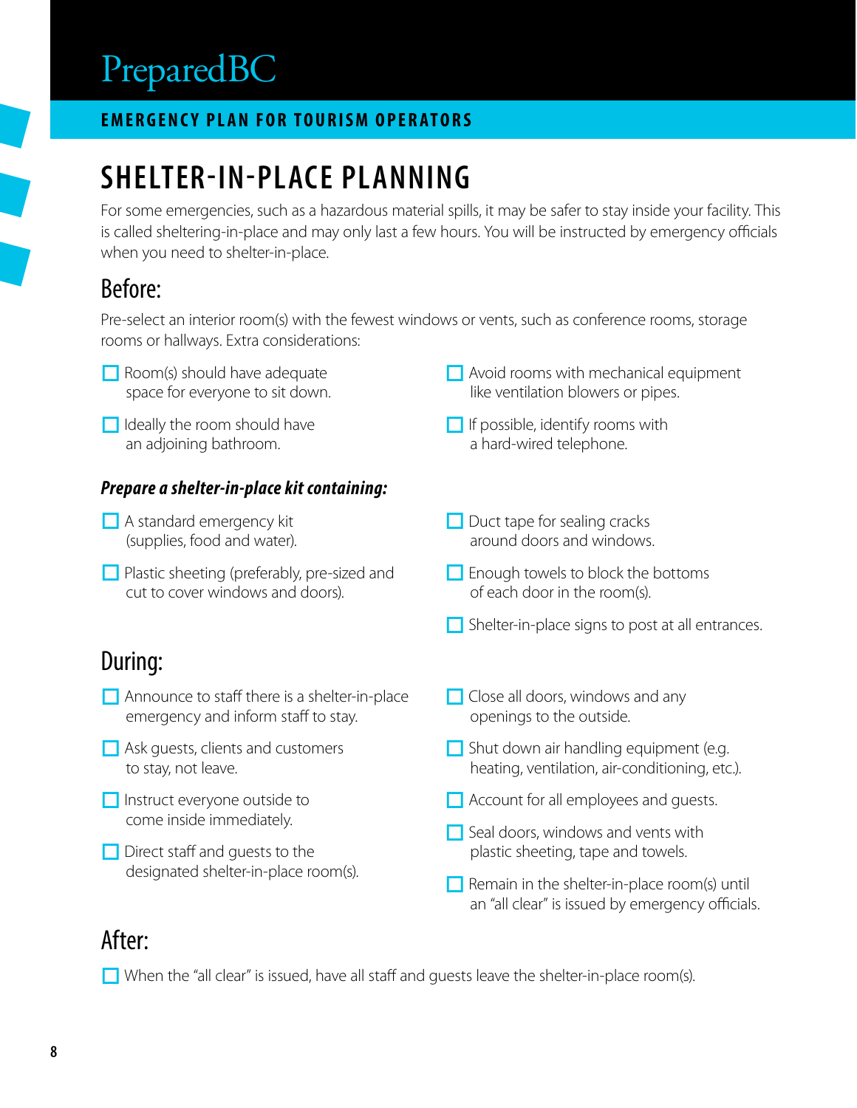## **EMERGENCY PLAN FOR TOURISM OPERATORS**

# **SHELTER-IN-PLACE PLANNING**

For some emergencies, such as a hazardous material spills, it may be safer to stay inside your facility. This is called sheltering-in-place and may only last a few hours. You will be instructed by emergency officials when you need to shelter-in-place.

## Before:

Pre-select an interior room(s) with the fewest windows or vents, such as conference rooms, storage rooms or hallways. Extra considerations:

- $\Box$  Room(s) should have adequate space for everyone to sit down.
- $\Box$  Ideally the room should have an adjoining bathroom.

#### *Prepare a shelter-in-place kit containing:*

- $\Box$  A standard emergency kit (supplies, food and water).
- $\Box$  Plastic sheeting (preferably, pre-sized and cut to cover windows and doors).

## During:

- $\Box$  Announce to staff there is a shelter-in-place emergency and inform staff to stay.
- $\Box$  Ask guests, clients and customers to stay, not leave.
- $\Box$  Instruct everyone outside to come inside immediately.
- $\Box$  Direct staff and quests to the designated shelter-in-place room(s).
- $\Box$  Avoid rooms with mechanical equipment like ventilation blowers or pipes.
- $\Box$  If possible, identify rooms with a hard-wired telephone.
- $\Box$  Duct tape for sealing cracks around doors and windows.
- $\Box$  Enough towels to block the bottoms of each door in the room(s).
- $\Box$  Shelter-in-place signs to post at all entrances.
- $\Box$  Close all doors, windows and any openings to the outside.
- $\Box$  Shut down air handling equipment (e.g. heating, ventilation, air-conditioning, etc.).
- $\Box$  Account for all employees and quests.
- $\Box$  Seal doors, windows and vents with plastic sheeting, tape and towels.
- Remain in the shelter-in-place room(s) until an "all clear" is issued by emergency officials.

## After:

When the "all clear" is issued, have all staff and quests leave the shelter-in-place room(s).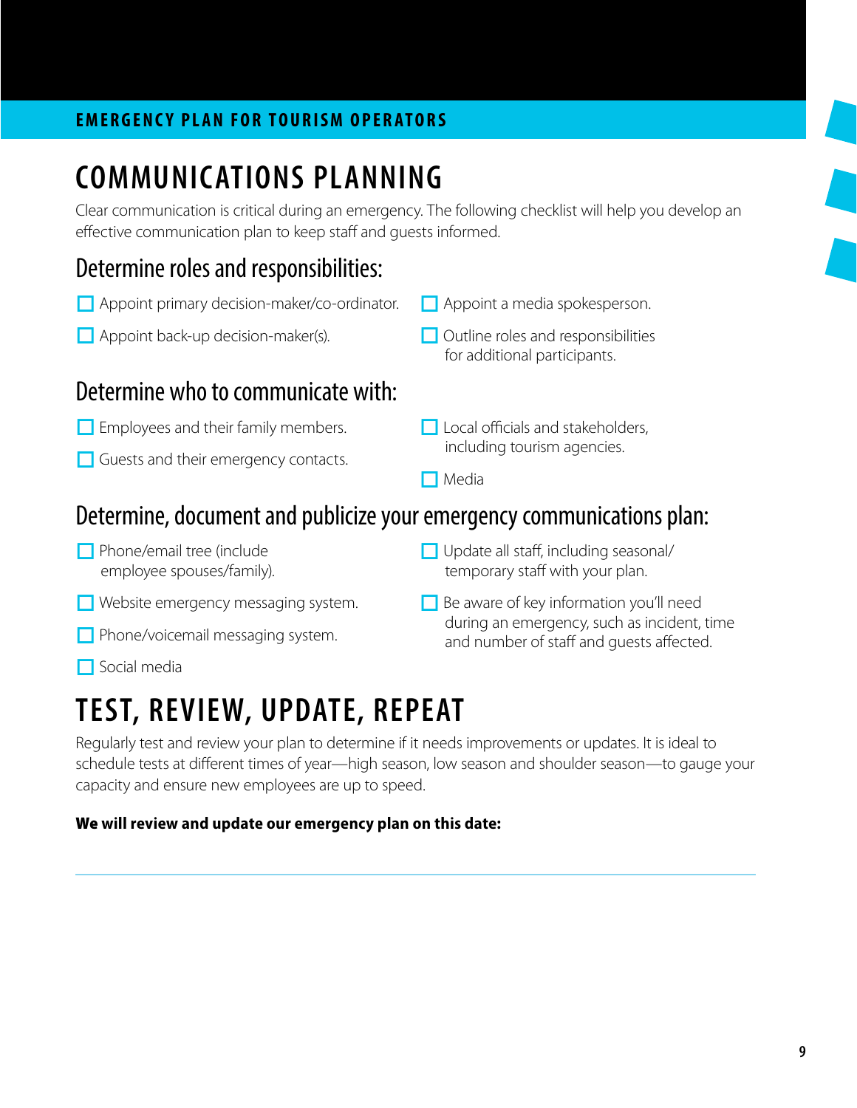### **EMERGENCY PLAN FOR TOURISM OPERATORS**

## **COMMUNICATIONS PLANNING**

Clear communication is critical during an emergency. The following checklist will help you develop an effective communication plan to keep staff and guests informed.

## Determine roles and responsibilities:

- $\Box$  Appoint primary decision-maker/co-ordinator.
- $\Box$  Appoint back-up decision-maker(s).
- $\Box$  Appoint a media spokesperson.
- $\Box$  Outline roles and responsibilities for additional participants.

## Determine who to communicate with:

- $\Box$  Employees and their family members.
- $\Box$  Guests and their emergency contacts.
- $\Box$  Local officials and stakeholders, including tourism agencies.
- $\Box$  Media

## Determine, document and publicize your emergency communications plan:

- $\Box$  Phone/email tree (include employee spouses/family).
- $\Box$  Website emergency messaging system.
- $\Box$  Phone/voicemail messaging system.
- temporary staff with your plan.  $\Box$  Be aware of key information you'll need
- during an emergency, such as incident, time and number of staff and guests affected.

 $\Box$  Update all staff, including seasonal/

 $\Box$  Social media

# **TEST, REVIEW, UPDATE, REPEAT**

Regularly test and review your plan to determine if it needs improvements or updates. It is ideal to schedule tests at different times of year—high season, low season and shoulder season—to gauge your capacity and ensure new employees are up to speed.

#### We **will review and update our emergency plan on this date:**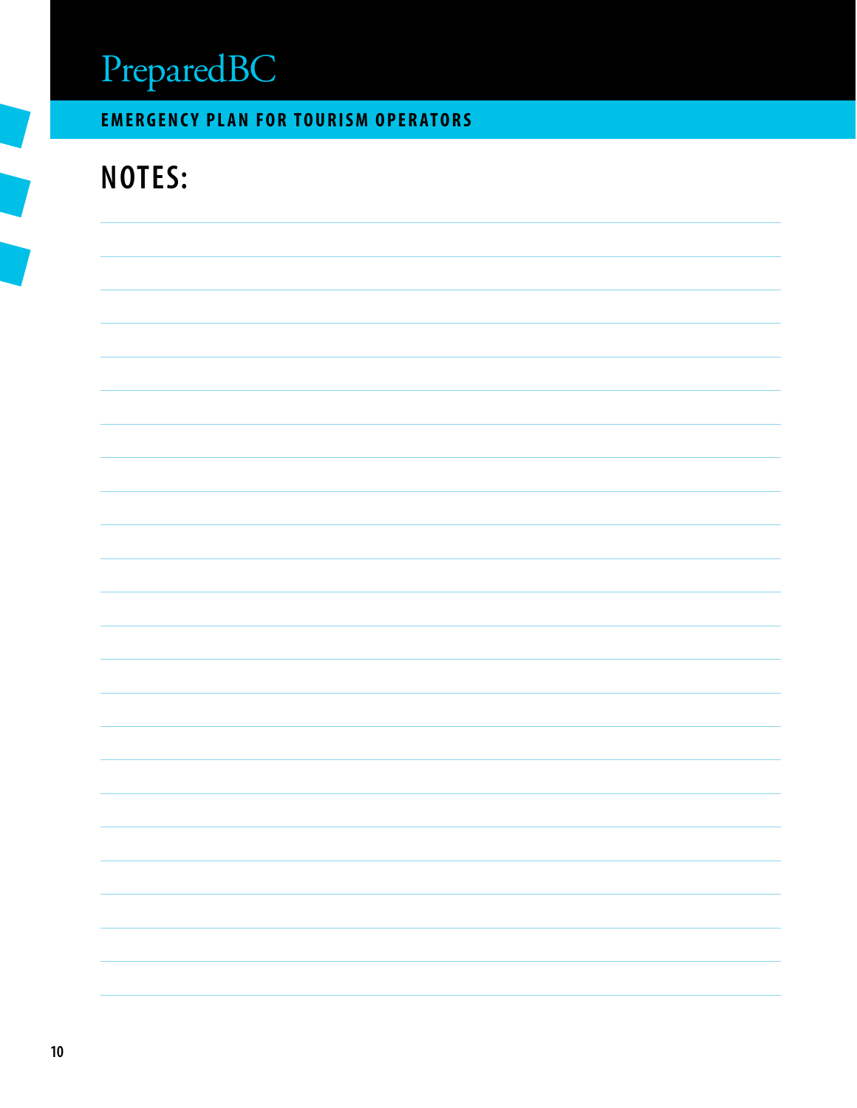### **EMERGENCY PLAN FOR TOURISM OPERATORS**

# **NOTES:**

| <u> 1989 - Andrea Santa Andrea Santa Andrea Santa Andrea Santa Andrea Santa Andrea Santa Andrea Santa Andrea San</u> |  |  |
|----------------------------------------------------------------------------------------------------------------------|--|--|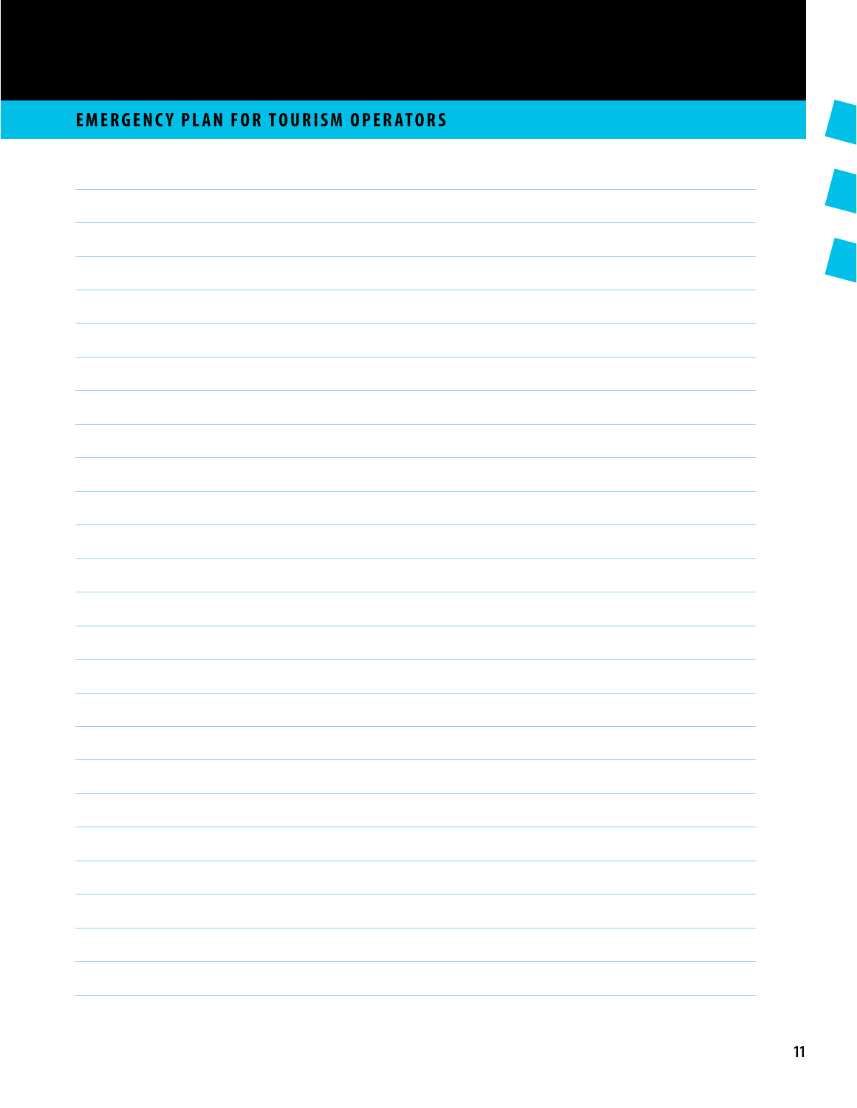## **EMERGENCY PLAN FOR TOURISM OPERATORS**